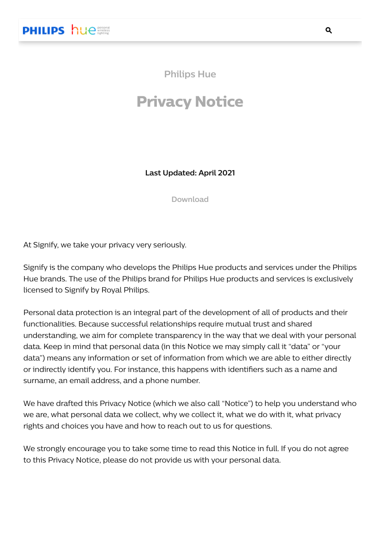**Philips Hue**

# **Privacy Notice**

**Last Updated: April 2021**

**Download**

At Signify, we take your privacy very seriously.

Signify is the company who develops the Philips Hue products and services under the Philips Hue brands. The use of the Philips brand for Philips Hue products and services is exclusively licensed to Signify by Royal Philips.

Personal data protection is an integral part of the development of all of products and their functionalities. Because successful relationships require mutual trust and shared understanding, we aim for complete transparency in the way that we deal with your personal data. Keep in mind that personal data (in this Notice we may simply call it "data" or "your data") means any information or set of information from which we are able to either directly or indirectly identify you. For instance, this happens with identifiers such as a name and surname, an email address, and a phone number.

We have drafted this Privacy Notice (which we also call "Notice") to help you understand who we are, what personal data we collect, why we collect it, what we do with it, what privacy rights and choices you have and how to reach out to us for questions.

We strongly encourage you to take some time to read this Notice in full. If you do not agree to this Privacy Notice, please do not provide us with your personal data.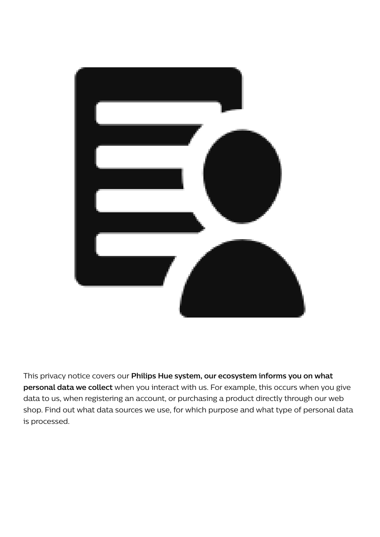

This privacy notice covers our **Philips Hue system, our ecosystem informs you on what personal data we collect** when you interact with us. For example, this occurs when you give data to us, when registering an account, or purchasing a product directly through our web shop. Find out what data sources we use, for which purpose and what type of personal data is processed.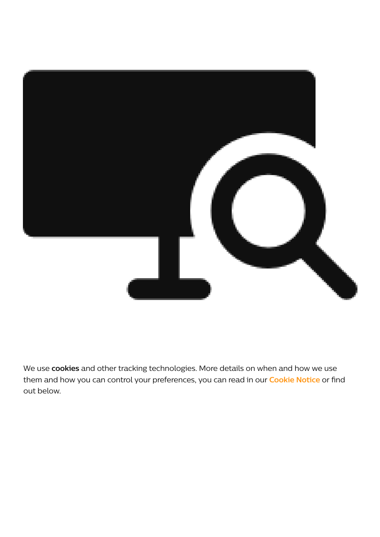

We use **cookies** and other tracking technologies. More details on when and how we use them and how you can control your preferences, you can read in our **[Cookie](https://www.author.signify.com/content/hue/hk/en/support/legal/cookie-notice.html) Notice** or find out below.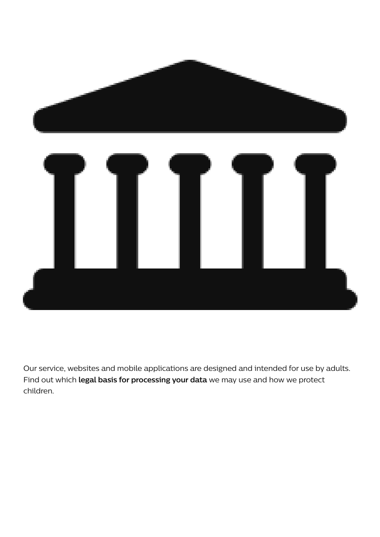

Our service, websites and mobile applications are designed and intended for use by adults. Find out which **legal basis for processing your data** we may use and how we protect children.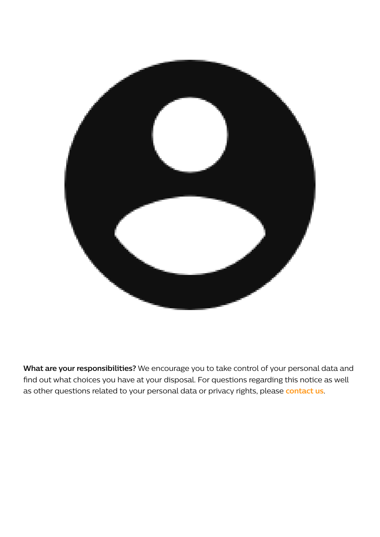

**What are your responsibilities?** We encourage you to take control of your personal data and find out what choices you have at your disposal. For questions regarding this notice as well as other questions related to your personal data or privacy rights, please **[contact](https://www.author.signify.com/content/signify/en_AA/privacy/privacy-request.html) us**.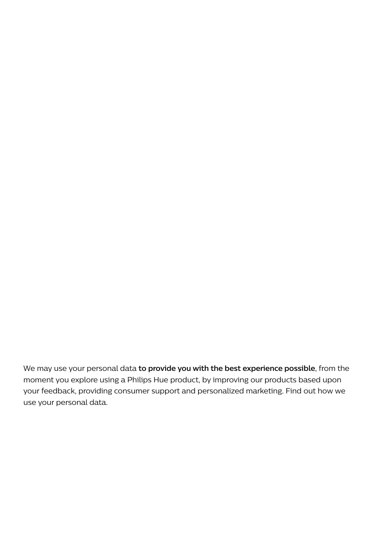We may use your personal data **to provide you with the best experience possible**, from the moment you explore using a Philips Hue product, by improving our products based upon your feedback, providing consumer support and personalized marketing. Find out how we use your personal data.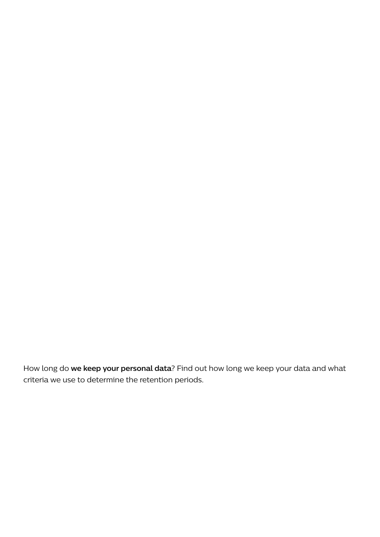How long do **we keep your personal data**? Find out how long we keep your data and what criteria we use to determine the retention periods.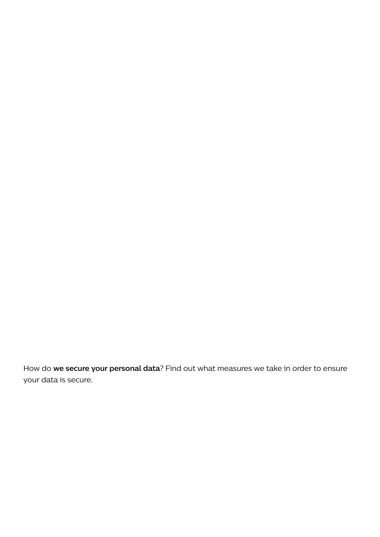How do **we secure your personal data**? Find out what measures we take in order to ensure your data is secure.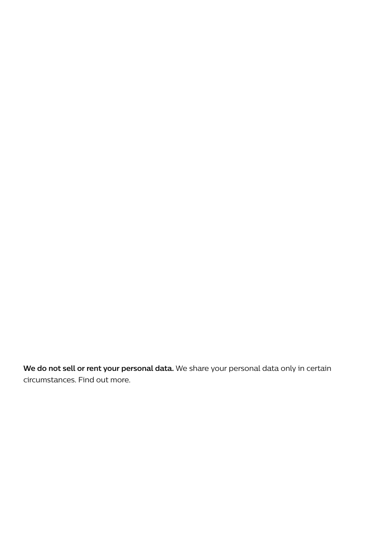**We do not sell or rent your personal data.** We share your personal data only in certain circumstances. Find out more.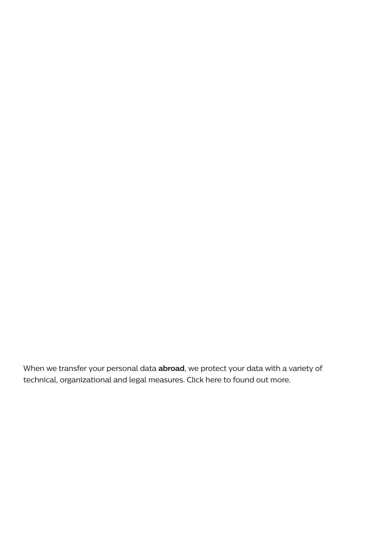When we transfer your personal data **abroad**, we protect your data with a variety of technical, organizational and legal measures. Click here to found out more.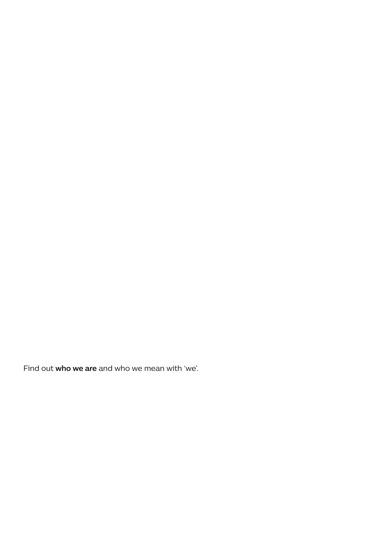Find out **who we are** and who we mean with 'we'.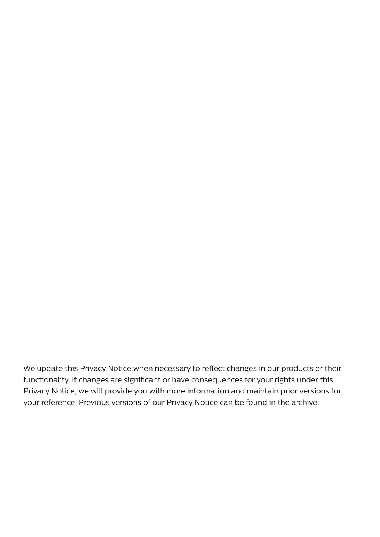We update this Privacy Notice when necessary to reflect changes in our products or their functionality. If changes are significant or have consequences for your rights under this Privacy Notice, we will provide you with more information and maintain prior versions for your reference. Previous versions of our Privacy Notice can be found in the archive.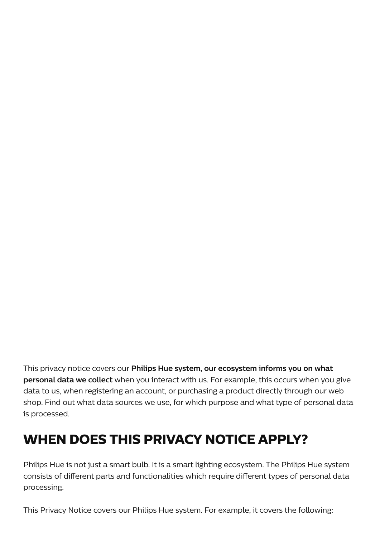This privacy notice covers our **Philips Hue system, our ecosystem informs you on what personal data we collect** when you interact with us. For example, this occurs when you give data to us, when registering an account, or purchasing a product directly through our web shop. Find out what data sources we use, for which purpose and what type of personal data is processed.

## **WHEN DOES THIS PRIVACY NOTICE APPLY?**

Philips Hue is not just a smart bulb. It is a smart lighting ecosystem. The Philips Hue system consists of different parts and functionalities which require different types of personal data processing.

This Privacy Notice covers our Philips Hue system. For example, it covers the following: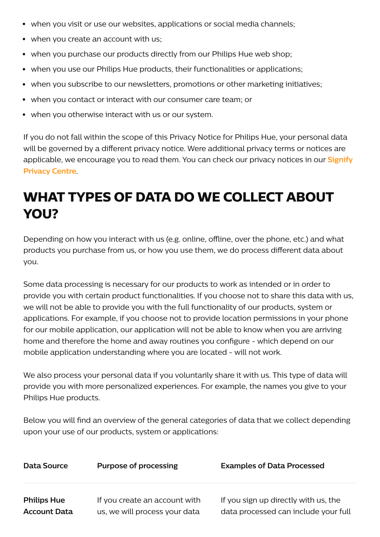- when you visit or use our websites, applications or social media channels;
- when you create an account with us;
- when you purchase our products directly from our Philips Hue web shop;
- when you use our Philips Hue products, their functionalities or applications;
- when you subscribe to our newsletters, promotions or other marketing initiatives;
- when you contact or interact with our consumer care team; or
- when you otherwise interact with us or our system.

If you do not fall within the scope of this Privacy Notice for Philips Hue, your personal data will be governed by a different privacy notice. Were additional privacy terms or notices are [applicable,](https://www.author.signify.com/content/signify/en_AA/privacy/legal-information.html) we encourage you to read them. You can check our privacy notices in our **Signify Privacy Centre**.

# **WHAT TYPES OF DATA DO WE COLLECT ABOUT YOU?**

Depending on how you interact with us (e.g. online, offline, over the phone, etc.) and what products you purchase from us, or how you use them, we do process different data about you.

Some data processing is necessary for our products to work as intended or in order to provide you with certain product functionalities. If you choose not to share this data with us, we will not be able to provide you with the full functionality of our products, system or applications. For example, if you choose not to provide location permissions in your phone for our mobile application, our application will not be able to know when you are arriving home and therefore the home and away routines you configure - which depend on our mobile application understanding where you are located - will not work.

We also process your personal data if you voluntarily share it with us. This type of data will provide you with more personalized experiences. For example, the names you give to your Philips Hue products.

Below you will find an overview of the general categories of data that we collect depending upon your use of our products, system or applications:

| Data Source         | <b>Purpose of processing</b>  | <b>Examples of Data Processed</b>    |
|---------------------|-------------------------------|--------------------------------------|
| <b>Philips Hue</b>  | If you create an account with | If you sign up directly with us, the |
| <b>Account Data</b> | us, we will process your data | data processed can include your full |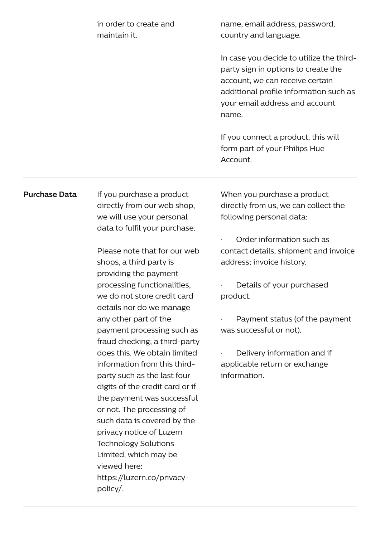| in order to create and | name, email address, password,           |
|------------------------|------------------------------------------|
| maintain it.           | country and language.                    |
|                        |                                          |
|                        | In case you decide to utilize the third- |
|                        | party sign in options to create the      |
|                        | account, we can receive certain          |
|                        | additional profile information such as   |
|                        | your email address and account           |
|                        | name.                                    |
|                        |                                          |
|                        | If you connect a product, this will      |
|                        | form part of your Philips Hue            |

Account.

**Purchase Data** If you purchase a product directly from our web shop, we will use your personal data to fulfil your purchase.

> Please note that for our web shops, a third party is providing the payment processing functionalities, we do not store credit card details nor do we manage any other part of the payment processing such as fraud checking; a third-party does this. We obtain limited information from this thirdparty such as the last four digits of the credit card or if the payment was successful or not. The processing of such data is covered by the privacy notice of Luzern Technology Solutions Limited, which may be viewed here: https://luzern.co/privacypolicy/.

When you purchase a product directly from us, we can collect the following personal data:

· Order information such as contact details, shipment and invoice address; invoice history.

Details of your purchased product.

Payment status (of the payment was successful or not).

Delivery information and if applicable return or exchange information.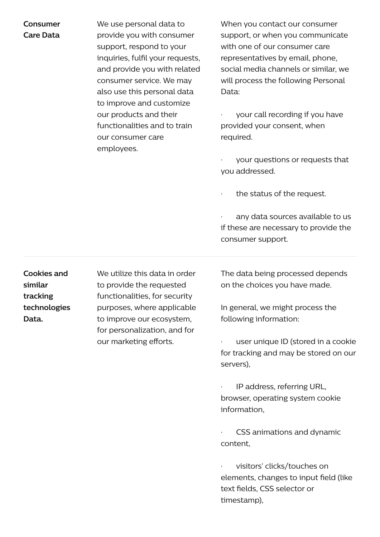#### **Consumer Care Data**

We use personal data to provide you with consumer support, respond to your inquiries, fulfil your requests, and provide you with related consumer service. We may also use this personal data to improve and customize our products and their functionalities and to train our consumer care employees.

When you contact our consumer support, or when you communicate with one of our consumer care representatives by email, phone, social media channels or similar, we will process the following Personal Data:

· your call recording if you have provided your consent, when required.

your questions or requests that you addressed.

the status of the request.

any data sources available to us if these are necessary to provide the consumer support.

**Cookies and similar tracking technologies Data.**

We utilize this data in order to provide the requested functionalities, for security purposes, where applicable to improve our ecosystem, for personalization, and for our marketing efforts.

The data being processed depends on the choices you have made.

In general, we might process the following information:

user unique ID (stored in a cookie for tracking and may be stored on our servers),

· IP address, referring URL, browser, operating system cookie information,

CSS animations and dynamic content,

visitors' clicks/touches on elements, changes to input field (like text fields, CSS selector or timestamp),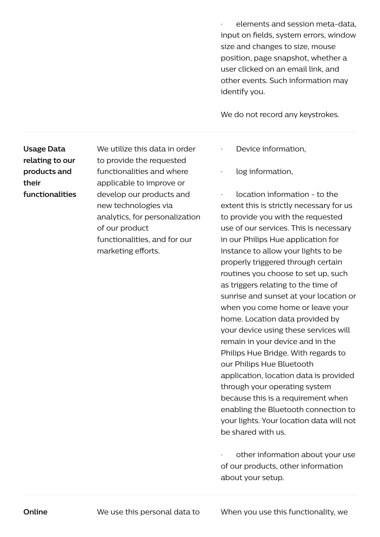· elements and session meta-data, input on fields, system errors, window size and changes to size, mouse position, page snapshot, whether a user clicked on an email link, and other events. Such information may identify you.

We do not record any keystrokes.

**Usage Data relating to our products and their functionalities**

We utilize this data in order to provide the requested functionalities and where applicable to improve or develop our products and new technologies via analytics, for personalization of our product functionalities, and for our marketing efforts.

- · Device information,
- log information,

· location information - to the extent this is strictly necessary for us to provide you with the requested use of our services. This is necessary in our Philips Hue application for instance to allow your lights to be properly triggered through certain routines you choose to set up, such as triggers relating to the time of sunrise and sunset at your location or when you come home or leave your home. Location data provided by your device using these services will remain in your device and in the Philips Hue Bridge. With regards to our Philips Hue Bluetooth application, location data is provided through your operating system because this is a requirement when enabling the Bluetooth connection to your lights. Your location data will not be shared with us.

other information about your use of our products, other information about your setup.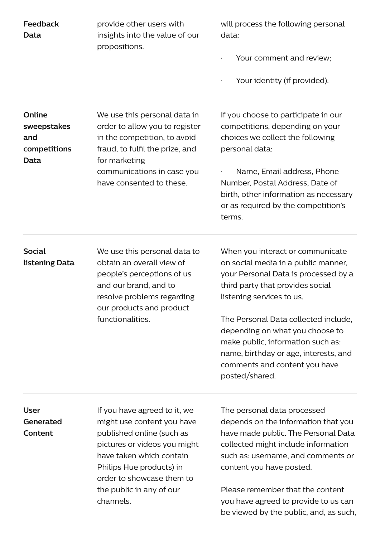| Feedback<br><b>Data</b>                                     | provide other users with<br>insights into the value of our<br>propositions.                                                                                                                                                                           | will process the following personal<br>data:<br>Your comment and review;<br>Your identity (if provided).                                                                                                                                                                                                                                                                                     |
|-------------------------------------------------------------|-------------------------------------------------------------------------------------------------------------------------------------------------------------------------------------------------------------------------------------------------------|----------------------------------------------------------------------------------------------------------------------------------------------------------------------------------------------------------------------------------------------------------------------------------------------------------------------------------------------------------------------------------------------|
| Online<br>sweepstakes<br>and<br>competitions<br><b>Data</b> | We use this personal data in<br>order to allow you to register<br>in the competition, to avoid<br>fraud, to fulfil the prize, and<br>for marketing<br>communications in case you<br>have consented to these.                                          | If you choose to participate in our<br>competitions, depending on your<br>choices we collect the following<br>personal data:<br>Name, Email address, Phone<br>Number, Postal Address, Date of<br>birth, other information as necessary<br>or as required by the competition's<br>terms.                                                                                                      |
| <b>Social</b><br>listening Data                             | We use this personal data to<br>obtain an overall view of<br>people's perceptions of us<br>and our brand, and to<br>resolve problems regarding<br>our products and product<br>functionalities.                                                        | When you interact or communicate<br>on social media in a public manner,<br>your Personal Data is processed by a<br>third party that provides social<br>listening services to us.<br>The Personal Data collected include,<br>depending on what you choose to<br>make public, information such as:<br>name, birthday or age, interests, and<br>comments and content you have<br>posted/shared. |
| <b>User</b><br>Generated<br>Content                         | If you have agreed to it, we<br>might use content you have<br>published online (such as<br>pictures or videos you might<br>have taken which contain<br>Philips Hue products) in<br>order to showcase them to<br>the public in any of our<br>channels. | The personal data processed<br>depends on the information that you<br>have made public. The Personal Data<br>collected might include information<br>such as: username, and comments or<br>content you have posted.<br>Please remember that the content<br>you have agreed to provide to us can<br>be viewed by the public, and, as such,                                                     |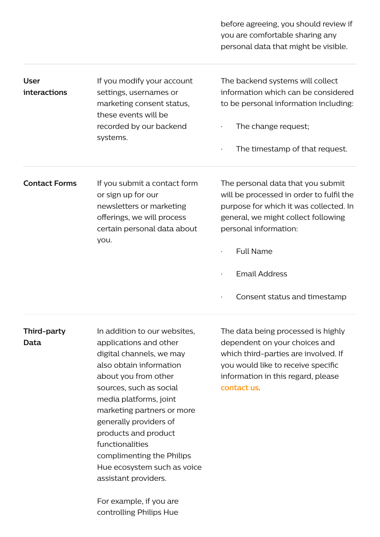before agreeing, you should review if you are comfortable sharing any personal data that might be visible.

| <b>User</b><br><i>interactions</i> | If you modify your account<br>settings, usernames or<br>marketing consent status,<br>these events will be<br>recorded by our backend<br>systems.    | The backend systems will collect<br>information which can be considered<br>to be personal information including:<br>The change request;<br>$\bullet$<br>The timestamp of that request.<br>$\bullet$                                                           |
|------------------------------------|-----------------------------------------------------------------------------------------------------------------------------------------------------|---------------------------------------------------------------------------------------------------------------------------------------------------------------------------------------------------------------------------------------------------------------|
| <b>Contact Forms</b>               | If you submit a contact form<br>or sign up for our<br>newsletters or marketing<br>offerings, we will process<br>certain personal data about<br>you. | The personal data that you submit<br>will be processed in order to fulfil the<br>purpose for which it was collected. In<br>general, we might collect following<br>personal information:<br><b>Full Name</b><br>$\bullet$<br><b>Email Address</b><br>$\bullet$ |

Consent status and timestamp

**Third-party Data** In addition to our websites, applications and other digital channels, we may also obtain information about you from other sources, such as social media platforms, joint marketing partners or more generally providers of products and product functionalities complimenting the Philips Hue ecosystem such as voice assistant providers.

> For example, if you are controlling Philips Hue

The data being processed is highly dependent on your choices and which third-parties are involved. If you would like to receive specific information in this regard, please **[contact](https://www.author.signify.com/content/signify/en_AA/privacy/privacy-request.html) us**.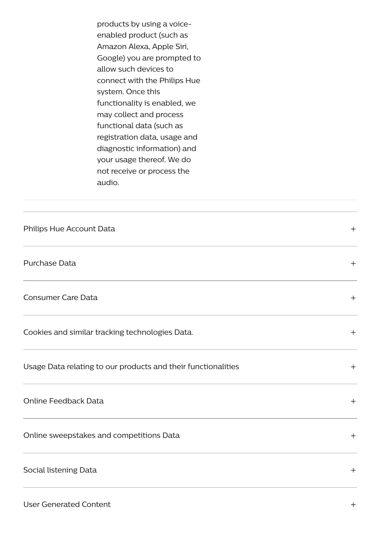products by using a voiceenabled product (such as Amazon Alexa, Apple Siri, Google) you are prompted to allow such devices to connect with the Philips Hue system. Once this functionality is enabled, we may collect and process functional data (such as registration data, usage and diagnostic information) and your usage thereof. We do not receive or process the audio.

| Philips Hue Account Data                                      | $+$ |
|---------------------------------------------------------------|-----|
| Purchase Data                                                 | $+$ |
| <b>Consumer Care Data</b>                                     | $+$ |
| Cookies and similar tracking technologies Data.               | $+$ |
| Usage Data relating to our products and their functionalities | $+$ |
| <b>Online Feedback Data</b>                                   | $+$ |
| Online sweepstakes and competitions Data                      | $+$ |
| Social listening Data                                         | $+$ |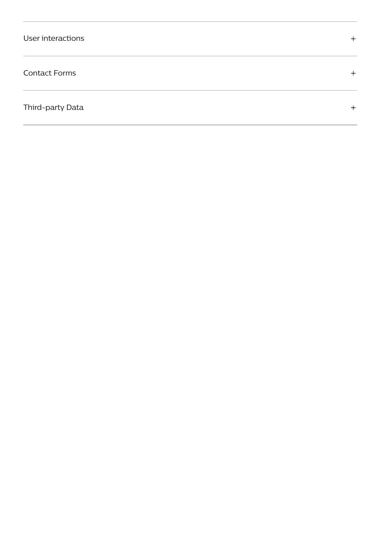#### Contact Forms

Third-party Data

 $+$ 

 $+$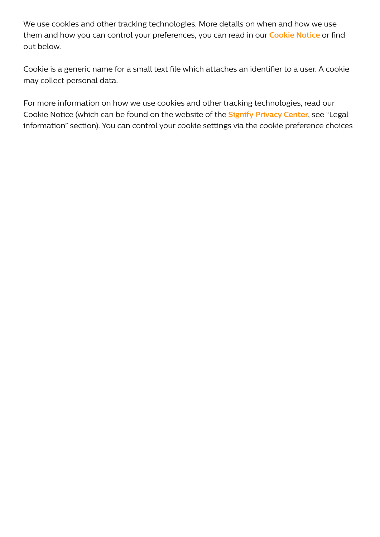We use cookies and other tracking technologies. More details on when and how we use them and how you can control your preferences, you can read in our **[Cookie](https://www.author.signify.com/content/hue/hk/en/support/legal/cookie-notice.html) Notice** or find out below.

Cookie is a generic name for a small text file which attaches an identifier to a user. A cookie may collect personal data.

For more information on how we use cookies and other tracking technologies, read our Cookie Notice (which can be found on the website of the **Signify [Privacy](https://www.author.signify.com/content/signify/en_AA/privacy.html) Center**, see "Legal information" section). You can control your cookie settings via the cookie preference choices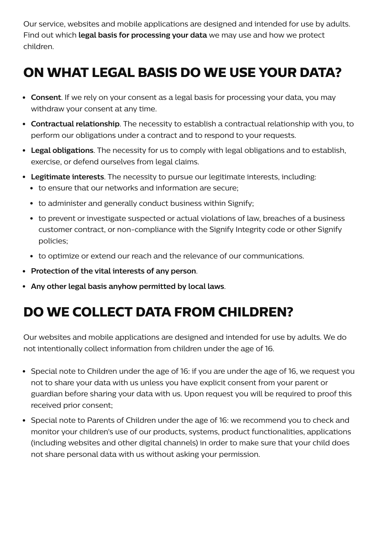Our service, websites and mobile applications are designed and intended for use by adults. Find out which **legal basis for processing your data** we may use and how we protect children.

# **ON WHAT LEGAL BASIS DO WE USE YOUR DATA?**

- **Consent**. If we rely on your consent as a legal basis for processing your data, you may withdraw your consent at any time.
- **Contractual relationship**. The necessity to establish a contractual relationship with you, to perform our obligations under a contract and to respond to your requests.
- **Legal obligations**. The necessity for us to comply with legal obligations and to establish, exercise, or defend ourselves from legal claims.
- **Legitimate interests**. The necessity to pursue our legitimate interests, including:
	- to ensure that our networks and information are secure;
	- to administer and generally conduct business within Signify;
	- to prevent or investigate suspected or actual violations of law, breaches of a business customer contract, or non-compliance with the Signify Integrity code or other Signify policies;
	- to optimize or extend our reach and the relevance of our communications.
- **Protection of the vital interests of any person**.
- **Any other legal basis anyhow permitted by local laws**.

# **DO WE COLLECT DATA FROM CHILDREN?**

Our websites and mobile applications are designed and intended for use by adults. We do not intentionally collect information from children under the age of 16.

- Special note to Children under the age of 16: if you are under the age of 16, we request you not to share your data with us unless you have explicit consent from your parent or guardian before sharing your data with us. Upon request you will be required to proof this received prior consent;
- Special note to Parents of Children under the age of 16: we recommend you to check and monitor your children's use of our products, systems, product functionalities, applications (including websites and other digital channels) in order to make sure that your child does not share personal data with us without asking your permission.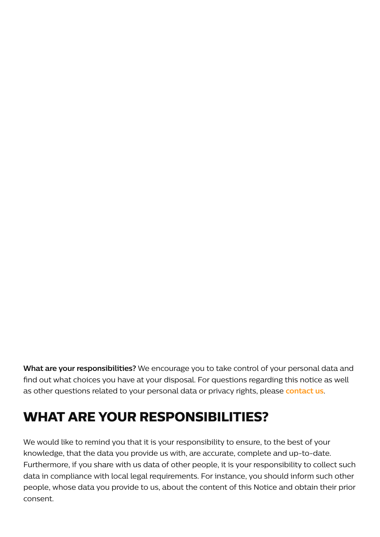**What are your responsibilities?** We encourage you to take control of your personal data and find out what choices you have at your disposal. For questions regarding this notice as well as other questions related to your personal data or privacy rights, please **[contact](https://www.author.signify.com/content/signify/en_AA/privacy/privacy-request.html) us**.

## **WHAT ARE YOUR RESPONSIBILITIES?**

We would like to remind you that it is your responsibility to ensure, to the best of your knowledge, that the data you provide us with, are accurate, complete and up-to-date. Furthermore, if you share with us data of other people, it is your responsibility to collect such data in compliance with local legal requirements. For instance, you should inform such other people, whose data you provide to us, about the content of this Notice and obtain their prior consent.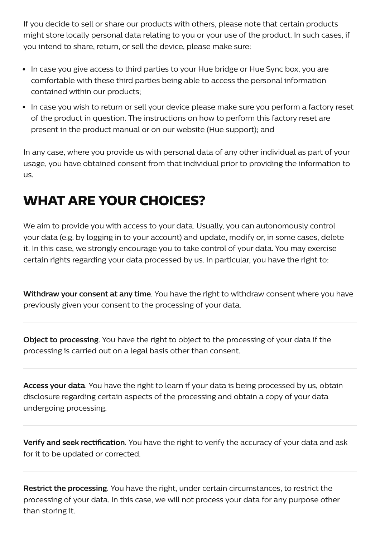If you decide to sell or share our products with others, please note that certain products might store locally personal data relating to you or your use of the product. In such cases, if you intend to share, return, or sell the device, please make sure:

- In case you give access to third parties to your Hue bridge or Hue Sync box, you are comfortable with these third parties being able to access the personal information contained within our products;
- In case you wish to return or sell your device please make sure you perform a factory reset of the product in question. The instructions on how to perform this factory reset are present in the product manual or on our website (Hue support); and

In any case, where you provide us with personal data of any other individual as part of your usage, you have obtained consent from that individual prior to providing the information to us.

# **WHAT ARE YOUR CHOICES?**

We aim to provide you with access to your data. Usually, you can autonomously control your data (e.g. by logging in to your account) and update, modify or, in some cases, delete it. In this case, we strongly encourage you to take control of your data. You may exercise certain rights regarding your data processed by us. In particular, you have the right to:

**Withdraw your consent at any time**. You have the right to withdraw consent where you have previously given your consent to the processing of your data.

**Object to processing**. You have the right to object to the processing of your data if the processing is carried out on a legal basis other than consent.

**Access your data**. You have the right to learn if your data is being processed by us, obtain disclosure regarding certain aspects of the processing and obtain a copy of your data undergoing processing.

**Verify and seek rectification**. You have the right to verify the accuracy of your data and ask for it to be updated or corrected.

**Restrict the processing**. You have the right, under certain circumstances, to restrict the processing of your data. In this case, we will not process your data for any purpose other than storing it.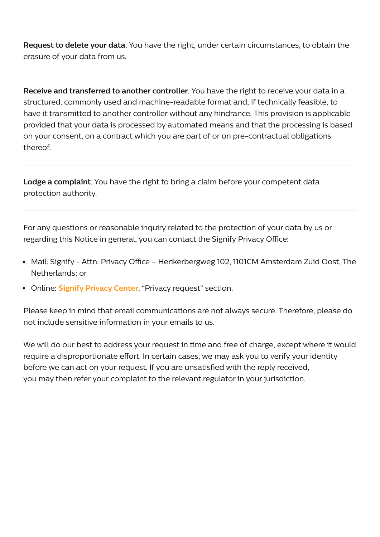**Request to delete your data**. You have the right, under certain circumstances, to obtain the erasure of your data from us.

**Receive and transferred to another controller**. You have the right to receive your data in a structured, commonly used and machine-readable format and, if technically feasible, to have it transmitted to another controller without any hindrance. This provision is applicable provided that your data is processed by automated means and that the processing is based on your consent, on a contract which you are part of or on pre-contractual obligations thereof.

**Lodge a complaint**. You have the right to bring a claim before your competent data protection authority.

For any questions or reasonable inquiry related to the protection of your data by us or regarding this Notice in general, you can contact the Signify Privacy Office:

- Mail: Signify Attn: Privacy Office Herikerbergweg 102, 1101CM Amsterdam Zuid Oost, The Netherlands; or
- Online: **Signify [Privacy](https://www.author.signify.com/content/signify/en_AA/privacy.html) Center**, "Privacy request" section.

Please keep in mind that email communications are not always secure. Therefore, please do not include sensitive information in your emails to us.

We will do our best to address your request in time and free of charge, except where it would require a disproportionate effort. In certain cases, we may ask you to verify your identity before we can act on your request. If you are unsatisfied with the reply received, you may then refer your complaint to the relevant regulator in your jurisdiction.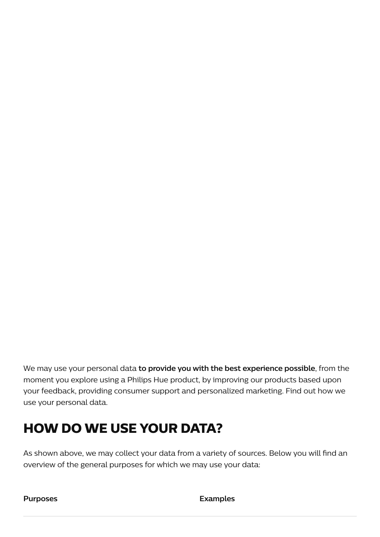We may use your personal data **to provide you with the best experience possible**, from the moment you explore using a Philips Hue product, by improving our products based upon your feedback, providing consumer support and personalized marketing. Find out how we use your personal data.

### **HOW DO WE USE YOUR DATA?**

As shown above, we may collect your data from a variety of sources. Below you will find an overview of the general purposes for which we may use your data:

**Purposes Examples**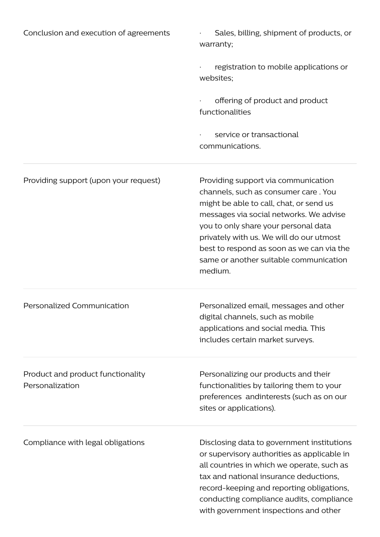| Conclusion and execution of agreements               | Sales, billing, shipment of products, or<br>warranty;                                                                                                                                                                                                                                                                                                   |
|------------------------------------------------------|---------------------------------------------------------------------------------------------------------------------------------------------------------------------------------------------------------------------------------------------------------------------------------------------------------------------------------------------------------|
|                                                      | registration to mobile applications or<br>websites;                                                                                                                                                                                                                                                                                                     |
|                                                      | offering of product and product<br>functionalities                                                                                                                                                                                                                                                                                                      |
|                                                      | service or transactional<br>communications.                                                                                                                                                                                                                                                                                                             |
| Providing support (upon your request)                | Providing support via communication<br>channels, such as consumer care. You<br>might be able to call, chat, or send us<br>messages via social networks. We advise<br>you to only share your personal data<br>privately with us. We will do our utmost<br>best to respond as soon as we can via the<br>same or another suitable communication<br>medium. |
| Personalized Communication                           | Personalized email, messages and other<br>digital channels, such as mobile<br>applications and social media. This<br>includes certain market surveys.                                                                                                                                                                                                   |
| Product and product functionality<br>Personalization | Personalizing our products and their<br>functionalities by tailoring them to your<br>preferences andinterests (such as on our<br>sites or applications).                                                                                                                                                                                                |
| Compliance with legal obligations                    | Disclosing data to government institutions<br>or supervisory authorities as applicable in<br>all countries in which we operate, such as<br>tax and national insurance deductions,<br>record-keeping and reporting obligations,<br>conducting compliance audits, compliance<br>with government inspections and other                                     |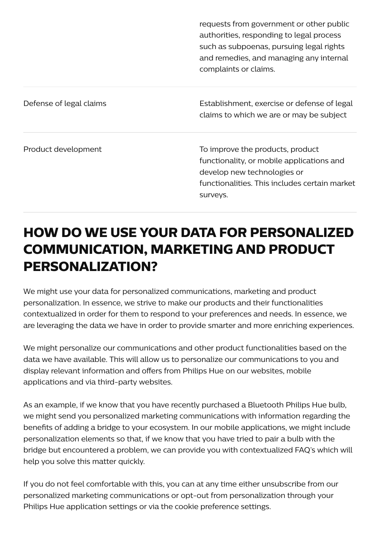|                         | requests from government or other public<br>authorities, responding to legal process<br>such as subpoenas, pursuing legal rights<br>and remedies, and managing any internal<br>complaints or claims. |
|-------------------------|------------------------------------------------------------------------------------------------------------------------------------------------------------------------------------------------------|
| Defense of legal claims | Establishment, exercise or defense of legal<br>claims to which we are or may be subject                                                                                                              |
| Product development     | To improve the products, product<br>functionality, or mobile applications and<br>develop new technologies or<br>functionalities. This includes certain market<br>surveys.                            |

# **HOW DO WE USE YOUR DATA FOR PERSONALIZED COMMUNICATION, MARKETING AND PRODUCT PERSONALIZATION?**

We might use your data for personalized communications, marketing and product personalization. In essence, we strive to make our products and their functionalities contextualized in order for them to respond to your preferences and needs. In essence, we are leveraging the data we have in order to provide smarter and more enriching experiences.

We might personalize our communications and other product functionalities based on the data we have available. This will allow us to personalize our communications to you and display relevant information and offers from Philips Hue on our websites, mobile applications and via third-party websites.

As an example, if we know that you have recently purchased a Bluetooth Philips Hue bulb, we might send you personalized marketing communications with information regarding the benefits of adding a bridge to your ecosystem. In our mobile applications, we might include personalization elements so that, if we know that you have tried to pair a bulb with the bridge but encountered a problem, we can provide you with contextualized FAQ's which will help you solve this matter quickly.

If you do not feel comfortable with this, you can at any time either unsubscribe from our personalized marketing communications or opt-out from personalization through your Philips Hue application settings or via the cookie preference settings.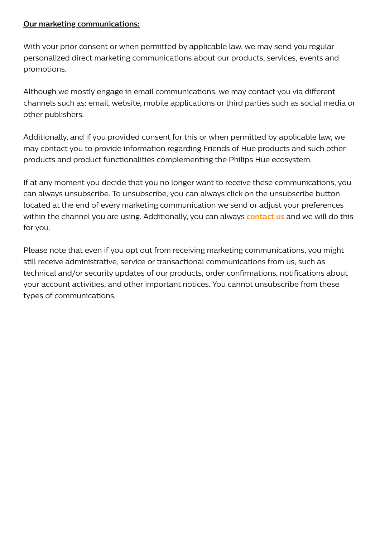#### **Our marketing communications:**

With your prior consent or when permitted by applicable law, we may send you regular personalized direct marketing communications about our products, services, events and promotions.

Although we mostly engage in email communications, we may contact you via different channels such as: email, website, mobile applications or third parties such as social media or other publishers.

Additionally, and if you provided consent for this or when permitted by applicable law, we may contact you to provide information regarding Friends of Hue products and such other products and product functionalities complementing the Philips Hue ecosystem.

If at any moment you decide that you no longer want to receive these communications, you can always unsubscribe. To unsubscribe, you can always click on the unsubscribe button located at the end of every marketing communication we send or adjust your preferences within the channel you are using. Additionally, you can always **[contact](https://www.author.signify.com/content/signify/en_AA/privacy/privacy-request.html) us** and we will do this for you.

Please note that even if you opt out from receiving marketing communications, you might still receive administrative, service or transactional communications from us, such as technical and/or security updates of our products, order confirmations, notifications about your account activities, and other important notices. You cannot unsubscribe from these types of communications.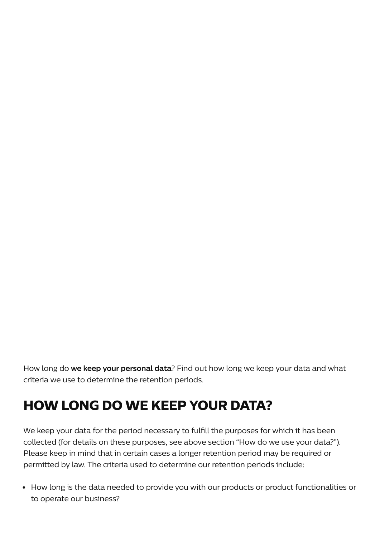How long do **we keep your personal data**? Find out how long we keep your data and what criteria we use to determine the retention periods.

# **HOW LONG DO WE KEEP YOUR DATA?**

We keep your data for the period necessary to fulfill the purposes for which it has been collected (for details on these purposes, see above section "How do we use your data?"). Please keep in mind that in certain cases a longer retention period may be required or permitted by law. The criteria used to determine our retention periods include:

How long is the data needed to provide you with our products or product functionalities or to operate our business?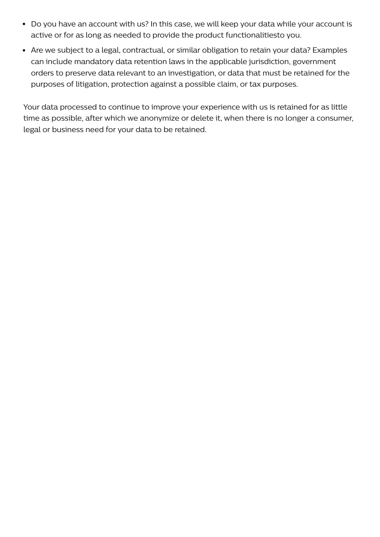- Do you have an account with us? In this case, we will keep your data while your account is active or for as long as needed to provide the product functionalitiesto you.
- Are we subject to a legal, contractual, or similar obligation to retain your data? Examples can include mandatory data retention laws in the applicable jurisdiction, government orders to preserve data relevant to an investigation, or data that must be retained for the purposes of litigation, protection against a possible claim, or tax purposes.

Your data processed to continue to improve your experience with us is retained for as little time as possible, after which we anonymize or delete it, when there is no longer a consumer, legal or business need for your data to be retained.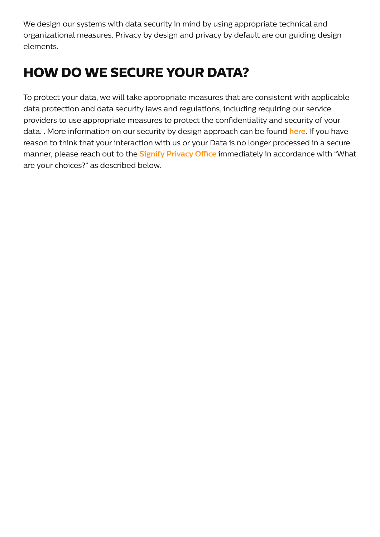We design our systems with data security in mind by using appropriate technical and organizational measures. Privacy by design and privacy by default are our guiding design elements.

# **HOW DO WE SECURE YOUR DATA?**

To protect your data, we will take appropriate measures that are consistent with applicable data protection and data security laws and regulations, including requiring our service providers to use appropriate measures to protect the confidentiality and security of your data. . More information on our security by design approach can be found **[here](https://www.author.signify.com/content/hue/hk/en/support/security-advisory.html)**. If you have reason to think that your interaction with us or your Data is no longer processed in a secure manner, please reach out to the **Signify [Privacy](https://www.author.signify.com/content/signify/en_AA/privacy.html) Office** immediately in accordance with "What are your choices?" as described below.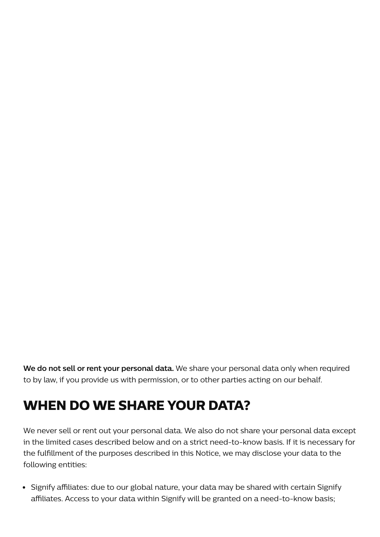**We do not sell or rent your personal data.** We share your personal data only when required to by law, if you provide us with permission, or to other parties acting on our behalf.

## **WHEN DO WE SHARE YOUR DATA?**

We never sell or rent out your personal data. We also do not share your personal data except in the limited cases described below and on a strict need-to-know basis. If it is necessary for the fulfillment of the purposes described in this Notice, we may disclose your data to the following entities:

• Signify affiliates: due to our global nature, your data may be shared with certain Signify affiliates. Access to your data within Signify will be granted on a need-to-know basis;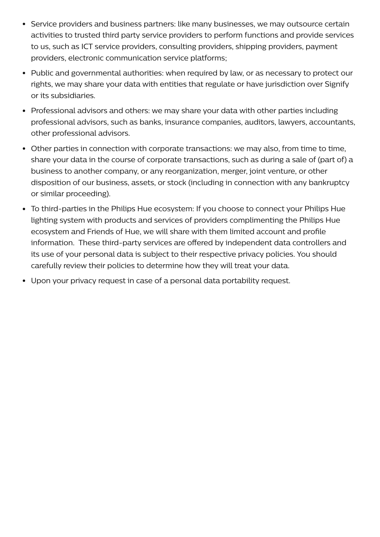- Service providers and business partners: like many businesses, we may outsource certain activities to trusted third party service providers to perform functions and provide services to us, such as ICT service providers, consulting providers, shipping providers, payment providers, electronic communication service platforms;
- Public and governmental authorities: when required by law, or as necessary to protect our rights, we may share your data with entities that regulate or have jurisdiction over Signify or its subsidiaries.
- Professional advisors and others: we may share your data with other parties including professional advisors, such as banks, insurance companies, auditors, lawyers, accountants, other professional advisors.
- Other parties in connection with corporate transactions: we may also, from time to time, share your data in the course of corporate transactions, such as during a sale of (part of) a business to another company, or any reorganization, merger, joint venture, or other disposition of our business, assets, or stock (including in connection with any bankruptcy or similar proceeding).
- To third-parties in the Philips Hue ecosystem: If you choose to connect your Philips Hue lighting system with products and services of providers complimenting the Philips Hue ecosystem and Friends of Hue, we will share with them limited account and profile information. These third-party services are offered by independent data controllers and its use of your personal data is subject to their respective privacy policies. You should carefully review their policies to determine how they will treat your data.
- Upon your privacy request in case of a personal data portability request.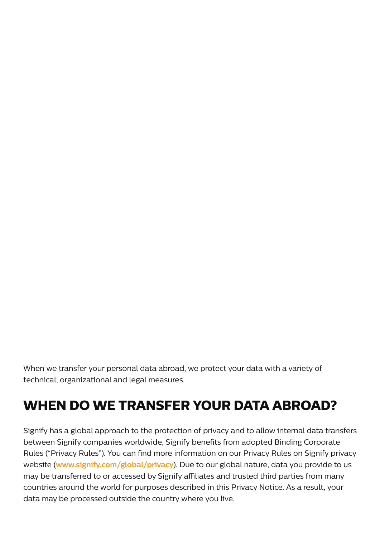When we transfer your personal data abroad, we protect your data with a variety of technical, organizational and legal measures.

# **WHEN DO WE TRANSFER YOUR DATA ABROAD?**

Signify has a global approach to the protection of privacy and to allow internal data transfers between Signify companies worldwide, Signify benefits from adopted Binding Corporate Rules ("Privacy Rules"). You can find more information on our Privacy Rules on Signify privacy website (**[www.signify.com/global/privacy](https://www.author.signify.com/content/signify/en_AA/privacy.html)**). Due to our global nature, data you provide to us may be transferred to or accessed by Signify affiliates and trusted third parties from many countries around the world for purposes described in this Privacy Notice. As a result, your data may be processed outside the country where you live.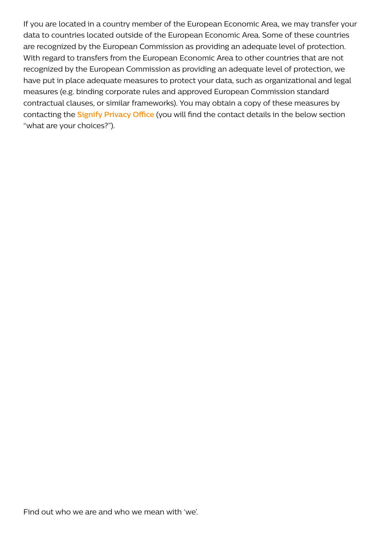If you are located in a country member of the European Economic Area, we may transfer your data to countries located outside of the European Economic Area. Some of these countries are recognized by the European Commission as providing an adequate level of protection. With regard to transfers from the European Economic Area to other countries that are not recognized by the European Commission as providing an adequate level of protection, we have put in place adequate measures to protect your data, such as organizational and legal measures (e.g. binding corporate rules and approved European Commission standard contractual clauses, or similar frameworks). You may obtain a copy of these measures by contacting the **Signify [Privacy](https://www.author.signify.com/content/signify/en_AA/privacy.html) Office** (you will find the contact details in the below section "what are your choices?").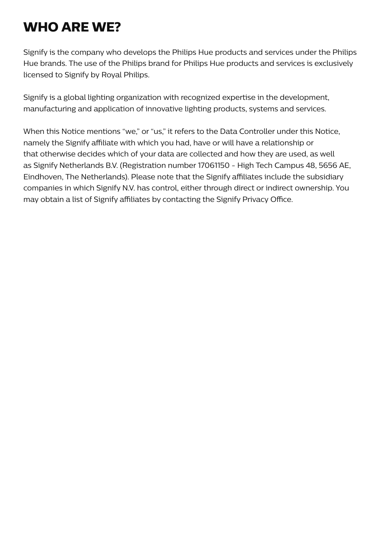# **WHO ARE WE?**

Signify is the company who develops the Philips Hue products and services under the Philips Hue brands. The use of the Philips brand for Philips Hue products and services is exclusively licensed to Signify by Royal Philips.

Signify is a global lighting organization with recognized expertise in the development, manufacturing and application of innovative lighting products, systems and services.

When this Notice mentions "we," or "us," it refers to the Data Controller under this Notice, namely the Signify affiliate with which you had, have or will have a relationship or that otherwise decides which of your data are collected and how they are used, as well as Signify Netherlands B.V. (Registration number 17061150 - High Tech Campus 48, 5656 AE, Eindhoven, The Netherlands). Please note that the Signify affiliates include the subsidiary companies in which Signify N.V. has control, either through direct or indirect ownership. You may obtain a list of Signify affiliates by contacting the Signify Privacy Office.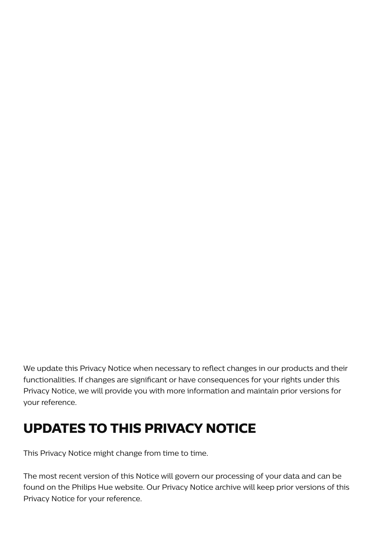We update this Privacy Notice when necessary to reflect changes in our products and their functionalities. If changes are significant or have consequences for your rights under this Privacy Notice, we will provide you with more information and maintain prior versions for your reference.

### **UPDATES TO THIS PRIVACY NOTICE**

This Privacy Notice might change from time to time.

The most recent version of this Notice will govern our processing of your data and can be found on the Philips Hue website. Our Privacy Notice archive will keep prior versions of this Privacy Notice for your reference.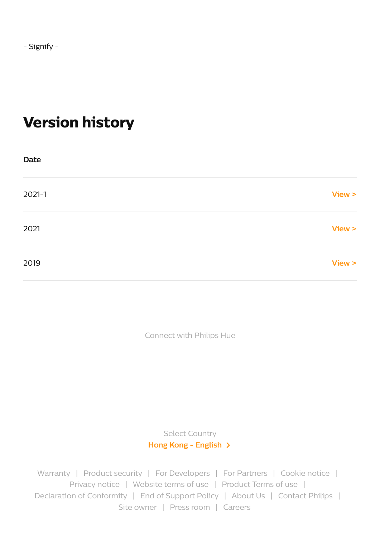# **Version history**

| Date       |        |
|------------|--------|
| $2021 - 1$ | View > |
| 2021       | View > |
| 2019       | View > |

Connect with Philips Hue

Select Country **Hong Kong - [English](https://www.author.signify.com/content/B2C/en_AA/microsites/meethue/marketing-catalog/huewireless_ca/select-your-country.html)**

[Warranty](https://www.author.signify.com/content/hue/hk/en/support/legal/warranty.html) | [Product](https://www.signify.com/global/vulnerability-disclosure) security | For [Developers](https://developers.meethue.com/) | For [Partners](https://www.philips-hue.com/integrate) | [Cookie](https://www.author.signify.com/content/hue/hk/en/support/legal/cookie-notice.html) notice | [Privacy](https://www.author.signify.com/content/hue/hk/en/support/legal/privacy-policy.html) notice | [Website](https://www.author.signify.com/content/hue/hk/en/support/legal/terms-conditions.html) terms of use | [Product](https://www.author.signify.com/content/hue/hk/en/support/legal/product-terms-of-use.html) Terms of use | [Declaration](https://www.philips-hue.com/doc) of Conformity | End of [Support](https://www.author.signify.com/content/hue/hk/en/support/legal/end-of-support-policy.html) Policy | [About](https://www.author.signify.com/content/hue/hk/en/about-us.html) Us | [Contact](https://www.author.signify.com/content/hue/hk/en/support/faq.html#contact) Philips | Site [owner](https://www.author.signify.com/content/hue/hk/en/support/legal/site-owner.html) | [Press](https://www.signify.com/global/our-company/news) room | [Careers](https://www.careers.signify.com/)